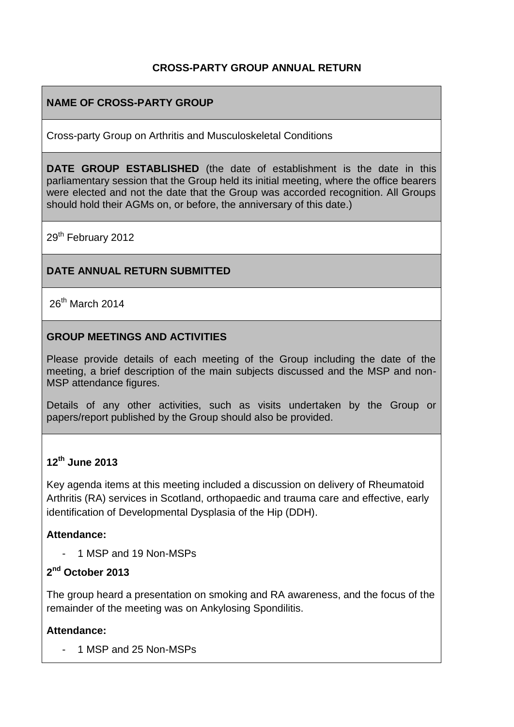#### **CROSS-PARTY GROUP ANNUAL RETURN**

## **NAME OF CROSS-PARTY GROUP**

Cross-party Group on Arthritis and Musculoskeletal Conditions

**DATE GROUP ESTABLISHED** (the date of establishment is the date in this parliamentary session that the Group held its initial meeting, where the office bearers were elected and not the date that the Group was accorded recognition. All Groups should hold their AGMs on, or before, the anniversary of this date.)

29<sup>th</sup> February 2012

#### **DATE ANNUAL RETURN SUBMITTED**

26th March 2014

#### **GROUP MEETINGS AND ACTIVITIES**

Please provide details of each meeting of the Group including the date of the meeting, a brief description of the main subjects discussed and the MSP and non-MSP attendance figures.

Details of any other activities, such as visits undertaken by the Group or papers/report published by the Group should also be provided.

#### **12th June 2013**

Key agenda items at this meeting included a discussion on delivery of Rheumatoid Arthritis (RA) services in Scotland, orthopaedic and trauma care and effective, early identification of Developmental Dysplasia of the Hip (DDH).

#### **Attendance:**

1 MSP and 19 Non-MSPs

## **2 nd October 2013**

The group heard a presentation on smoking and RA awareness, and the focus of the remainder of the meeting was on Ankylosing Spondilitis.

#### **Attendance:**

- 1 MSP and 25 Non-MSPs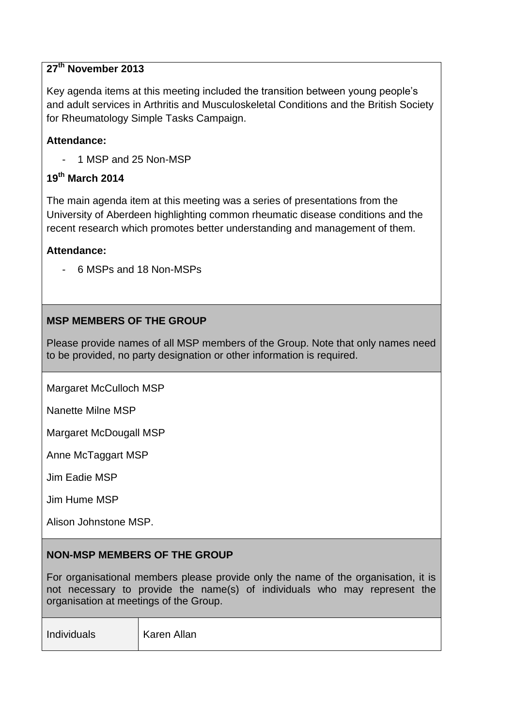# **27th November 2013**

Key agenda items at this meeting included the transition between young people's and adult services in Arthritis and Musculoskeletal Conditions and the British Society for Rheumatology Simple Tasks Campaign.

#### **Attendance:**

1 MSP and 25 Non-MSP

## **19th March 2014**

The main agenda item at this meeting was a series of presentations from the University of Aberdeen highlighting common rheumatic disease conditions and the recent research which promotes better understanding and management of them.

#### **Attendance:**

- 6 MSPs and 18 Non-MSPs

## **MSP MEMBERS OF THE GROUP**

Please provide names of all MSP members of the Group. Note that only names need to be provided, no party designation or other information is required.

Margaret McCulloch MSP

Nanette Milne MSP

Margaret McDougall MSP

Anne McTaggart MSP

Jim Eadie MSP

Jim Hume MSP

Alison Johnstone MSP.

#### **NON-MSP MEMBERS OF THE GROUP**

For organisational members please provide only the name of the organisation, it is not necessary to provide the name(s) of individuals who may represent the organisation at meetings of the Group.

Individuals Karen Allan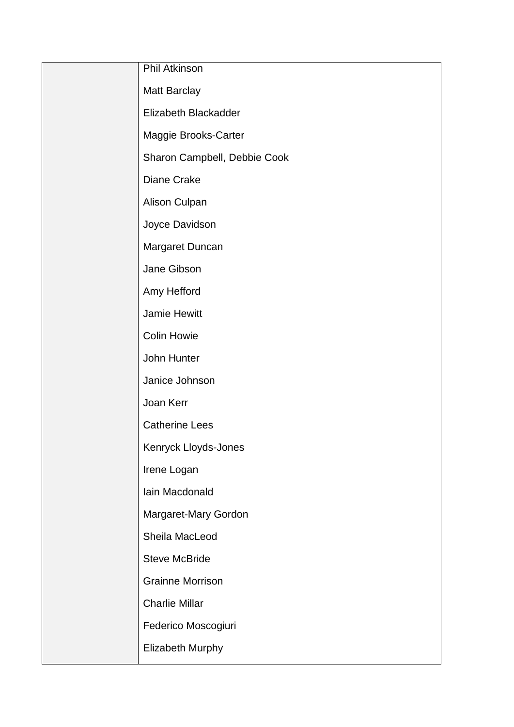| <b>Phil Atkinson</b>         |
|------------------------------|
| <b>Matt Barclay</b>          |
| Elizabeth Blackadder         |
| Maggie Brooks-Carter         |
| Sharon Campbell, Debbie Cook |
| Diane Crake                  |
| Alison Culpan                |
| Joyce Davidson               |
| Margaret Duncan              |
| Jane Gibson                  |
| Amy Hefford                  |
| <b>Jamie Hewitt</b>          |
| <b>Colin Howie</b>           |
| John Hunter                  |
| Janice Johnson               |
| Joan Kerr                    |
| <b>Catherine Lees</b>        |
| Kenryck Lloyds-Jones         |
| Irene Logan                  |
| Iain Macdonald               |
| Margaret-Mary Gordon         |
| Sheila MacLeod               |
| <b>Steve McBride</b>         |
| <b>Grainne Morrison</b>      |
| <b>Charlie Millar</b>        |
| Federico Moscogiuri          |
| Elizabeth Murphy             |
|                              |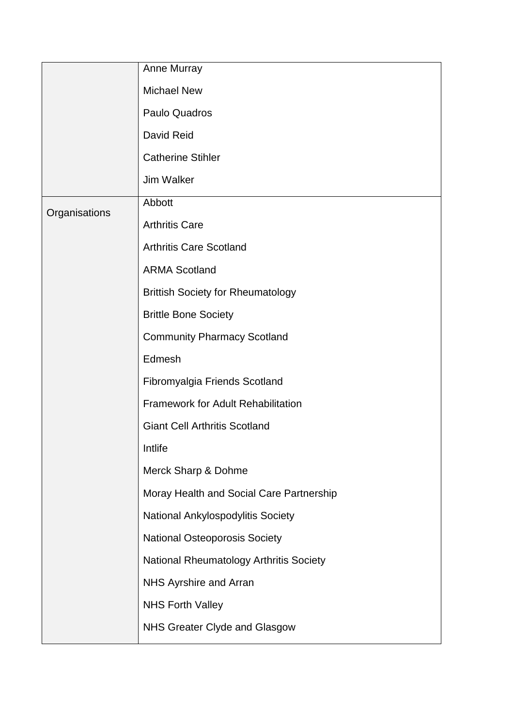|               | Anne Murray                               |
|---------------|-------------------------------------------|
|               | <b>Michael New</b>                        |
|               | Paulo Quadros                             |
|               | David Reid                                |
|               | <b>Catherine Stihler</b>                  |
|               | <b>Jim Walker</b>                         |
| Organisations | Abbott                                    |
|               | <b>Arthritis Care</b>                     |
|               | <b>Arthritis Care Scotland</b>            |
|               | <b>ARMA Scotland</b>                      |
|               | <b>Brittish Society for Rheumatology</b>  |
|               | <b>Brittle Bone Society</b>               |
|               | <b>Community Pharmacy Scotland</b>        |
|               | Edmesh                                    |
|               | Fibromyalgia Friends Scotland             |
|               | <b>Framework for Adult Rehabilitation</b> |
|               | <b>Giant Cell Arthritis Scotland</b>      |
|               | Intlife                                   |
|               | Merck Sharp & Dohme                       |
|               | Moray Health and Social Care Partnership  |
|               | National Ankylospodylitis Society         |
|               | <b>National Osteoporosis Society</b>      |
|               | National Rheumatology Arthritis Society   |
|               | NHS Ayrshire and Arran                    |
|               | <b>NHS Forth Valley</b>                   |
|               | NHS Greater Clyde and Glasgow             |
|               |                                           |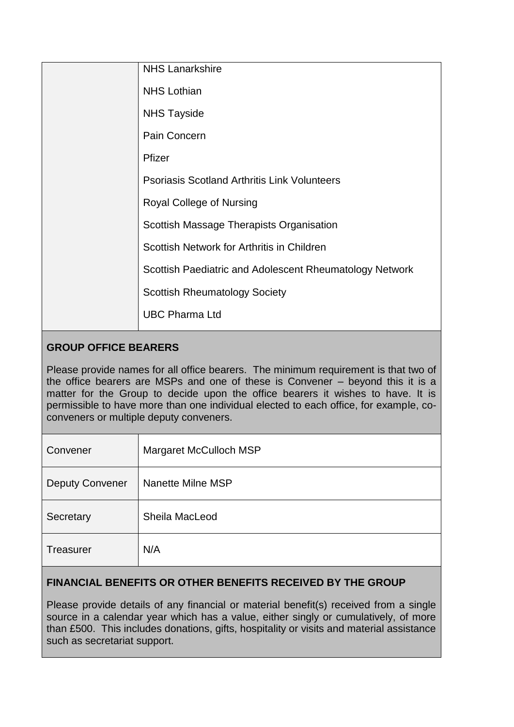| <b>NHS Lanarkshire</b>                                  |
|---------------------------------------------------------|
| <b>NHS Lothian</b>                                      |
| <b>NHS Tayside</b>                                      |
| Pain Concern                                            |
| Pfizer                                                  |
| <b>Psoriasis Scotland Arthritis Link Volunteers</b>     |
| Royal College of Nursing                                |
| Scottish Massage Therapists Organisation                |
| Scottish Network for Arthritis in Children              |
| Scottish Paediatric and Adolescent Rheumatology Network |
| <b>Scottish Rheumatology Society</b>                    |
| <b>UBC Pharma Ltd</b>                                   |

# **GROUP OFFICE BEARERS**

Please provide names for all office bearers. The minimum requirement is that two of the office bearers are MSPs and one of these is Convener – beyond this it is a matter for the Group to decide upon the office bearers it wishes to have. It is permissible to have more than one individual elected to each office, for example, coconveners or multiple deputy conveners.

| Convener               | Margaret McCulloch MSP |
|------------------------|------------------------|
| <b>Deputy Convener</b> | Nanette Milne MSP      |
| Secretary              | Sheila MacLeod         |
| <b>Treasurer</b>       | N/A                    |

#### **FINANCIAL BENEFITS OR OTHER BENEFITS RECEIVED BY THE GROUP**

Please provide details of any financial or material benefit(s) received from a single source in a calendar year which has a value, either singly or cumulatively, of more than £500. This includes donations, gifts, hospitality or visits and material assistance such as secretariat support.